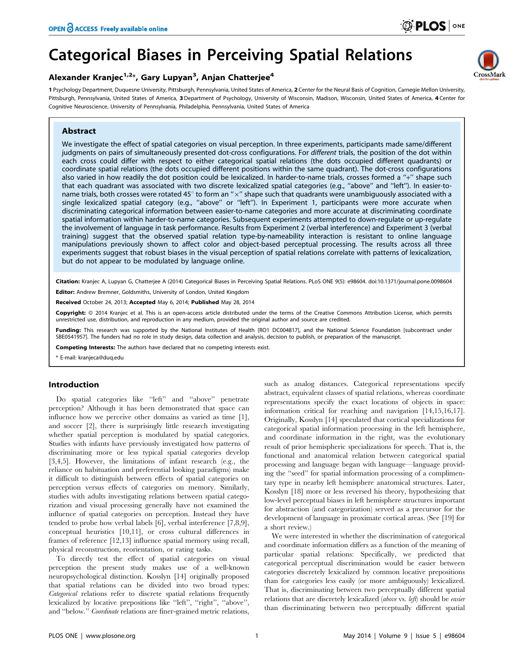# Categorical Biases in Perceiving Spatial Relations

## Alexander Kranjec<sup>1,2</sup>\*, Gary Lupyan<sup>3</sup>, Anjan Chatterjee<sup>4</sup>

1 Psychology Department, Duquesne University, Pittsburgh, Pennsylvania, United States of America, 2 Center for the Neural Basis of Cognition, Carnegie Mellon University, Pittsburgh, Pennsylvania, United States of America, 3 Department of Psychology, University of Wisconsin, Madison, Wisconsin, United States of America, 4 Center for Cognitive Neuroscience, University of Pennsylvania, Philadelphia, Pennsylvania, United States of America

## Abstract

We investigate the effect of spatial categories on visual perception. In three experiments, participants made same/different judgments on pairs of simultaneously presented dot-cross configurations. For different trials, the position of the dot within each cross could differ with respect to either categorical spatial relations (the dots occupied different quadrants) or coordinate spatial relations (the dots occupied different positions within the same quadrant). The dot-cross configurations also varied in how readily the dot position could be lexicalized. In harder-to-name trials, crosses formed a "+" shape such that each quadrant was associated with two discrete lexicalized spatial categories (e.g., ''above'' and ''left''). In easier-toname trials, both crosses were rotated 45 $^{\circ}$  to form an " $\times$ " shape such that quadrants were unambiguously associated with a single lexicalized spatial category (e.g., "above" or "left"). In Experiment 1, participants were more accurate when discriminating categorical information between easier-to-name categories and more accurate at discriminating coordinate spatial information within harder-to-name categories. Subsequent experiments attempted to down-regulate or up-regulate the involvement of language in task performance. Results from Experiment 2 (verbal interference) and Experiment 3 (verbal training) suggest that the observed spatial relation type-by-nameability interaction is resistant to online language manipulations previously shown to affect color and object-based perceptual processing. The results across all three experiments suggest that robust biases in the visual perception of spatial relations correlate with patterns of lexicalization, but do not appear to be modulated by language online.

Citation: Kranjec A, Lupyan G, Chatterjee A (2014) Categorical Biases in Perceiving Spatial Relations. PLoS ONE 9(5): e98604. doi:10.1371/journal.pone.0098604 Editor: Andrew Bremner, Goldsmiths, University of London, United Kingdom

Received October 24, 2013; Accepted May 6, 2014; Published May 28, 2014

Copyright: © 2014 Kranjec et al. This is an open-access article distributed under the terms of the [Creative Commons Attribution License,](http://creativecommons.org/licenses/by/4.0/) which permits unrestricted use, distribution, and reproduction in any medium, provided the original author and source are credited.

Funding: This research was supported by the National Institutes of Health [RO1 DC004817], and the National Science Foundation [subcontract under SBE0541957]. The funders had no role in study design, data collection and analysis, decision to publish, or preparation of the manuscript.

Competing Interests: The authors have declared that no competing interests exist.

\* E-mail: kranjeca@duq.edu

## Introduction

Do spatial categories like ''left'' and ''above'' penetrate perception? Although it has been demonstrated that space can influence how we perceive other domains as varied as time [1], and soccer [2], there is surprisingly little research investigating whether spatial perception is modulated by spatial categories. Studies with infants have previously investigated how patterns of discriminating more or less typical spatial categories develop [3,4,5]. However, the limitations of infant research (e.g., the reliance on habituation and preferential looking paradigms) make it difficult to distinguish between effects of spatial categories on perception versus effects of categories on memory. Similarly, studies with adults investigating relations between spatial categorization and visual processing generally have not examined the influence of spatial categories on perception. Instead they have tended to probe how verbal labels [6], verbal interference [7,8,9], conceptual heuristics [10,11], or cross cultural differences in frames of reference [12,13] influence spatial memory using recall, physical reconstruction, reorientation, or rating tasks.

To directly test the effect of spatial categories on visual perception the present study makes use of a well-known neuropsychological distinction. Kosslyn [14] originally proposed that spatial relations can be divided into two broad types: Categorical relations refer to discrete spatial relations frequently lexicalized by locative prepositions like ''left'', ''right'', ''above'', and ''below.'' Coordinate relations are finer-grained metric relations, such as analog distances. Categorical representations specify abstract, equivalent classes of spatial relations, whereas coordinate representations specify the exact locations of objects in space: information critical for reaching and navigation [14,15,16,17]. Originally, Kosslyn [14] speculated that cortical specializations for categorical spatial information processing in the left hemisphere, and coordinate information in the right, was the evolutionary result of prior hemispheric specializations for speech. That is, the functional and anatomical relation between categorical spatial processing and language began with language—language providing the ''seed'' for spatial information processing of a complimentary type in nearby left hemisphere anatomical structures. Later, Kosslyn [18] more or less reversed his theory, hypothesizing that low-level perceptual biases in left hemisphere structures important for abstraction (and categorization) served as a precursor for the development of language in proximate cortical areas. (See [19] for a short review.)

We were interested in whether the discrimination of categorical and coordinate information differs as a function of the meaning of particular spatial relations: Specifically, we predicted that categorical perceptual discrimination would be easier between categories discretely lexicalized by common locative prepositions than for categories less easily (or more ambiguously) lexicalized. That is, discriminating between two perceptually different spatial relations that are discretely lexicalized (above vs. left) should be easier than discriminating between two perceptually different spatial

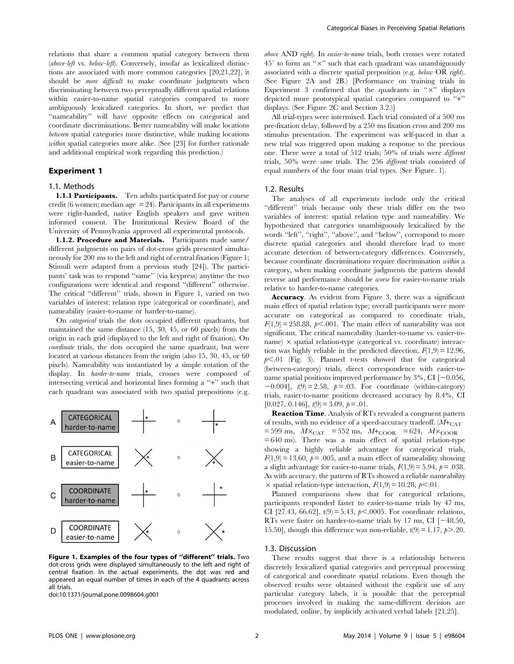relations that share a common spatial category between them (above-left vs. below-left). Conversely, insofar as lexicalized distinctions are associated with more common categories [20,21,22], it should be more difficult to make coordinate judgments when discriminating between two perceptually different spatial relations within easier-to-name spatial categories compared to more ambiguously lexicalized categories. In short, we predict that "nameability" will have opposite effects on categorical and coordinate discriminations. Better nameability will make locations between spatial categories more distinctive, while making locations within spatial categories more alike. (See [23] for further rationale and additional empirical work regarding this prediction.)

## Experiment 1

#### 1.1. Methods

1.1.1 Participants. Ten adults participated for pay or course credit (6 women; median age  $= 24$ ). Participants in all experiments were right-handed, native English speakers and gave written informed consent. The Institutional Review Board of the University of Pennsylvania approved all experimental protocols.

1.1.2. Procedure and Materials. Participants made same/ different judgments on pairs of dot-cross grids presented simultaneously for 200 ms to the left and right of central fixation (Figure 1; Stimuli were adapted from a previous study [24]). The participants' task was to respond ''same'' (via keypress) anytime the two configurations were identical and respond ''different'' otherwise. The critical "different" trials, shown in Figure 1, varied on two variables of interest: relation type (categorical or coordinate), and nameability (easier-to-name or harder-to-name).

On categorical trials the dots occupied different quadrants, but maintained the same distance (15, 30, 45, or 60 pixels) from the origin in each grid (displayed to the left and right of fixation). On coordinate trials, the dots occupied the same quadrant, but were located at various distances from the origin (also 15, 30, 45, or 60 pixels). Nameability was instantiated by a simple rotation of the display. In harder-to-name trials, crosses were composed of intersecting vertical and horizontal lines forming a "+" such that each quadrant was associated with two spatial prepositions (e.g.



Figure 1. Examples of the four types of ''different'' trials. Two dot-cross grids were displayed simultaneously to the left and right of central fixation. In the actual experiments, the dot was red and appeared an equal number of times in each of the 4 quadrants across all trials.

doi:10.1371/journal.pone.0098604.g001

above AND right). In easier-to-name trials, both crosses were rotated  $45^{\circ}$  to form an " $\times$ " such that each quadrant was unambiguously associated with a discrete spatial preposition (e.g. below OR right). (See Figure 2A and 2B.) [Performance on training trials in Experiment 3 confirmed that the quadrants in " $\times$ " displays depicted more prototypical spatial categories compared to ''+'' displays. (See Figure 2C and Section 3.2.)]

All trial-types were intermixed. Each trial consisted of a 500 ms pre-fixation delay, followed by a 250 ms fixation cross and 200 ms stimulus presentation. The experiment was self-paced in that a new trial was triggered upon making a response to the previous one. There were a total of 512 trials; 50% of trials were different trials, 50% were same trials. The 256 different trials consisted of equal numbers of the four main trial types. (See Figure. 1).

#### 1.2. Results

The analyses of all experiments include only the critical ''different'' trials because only these trials differ on the two variables of interest: spatial relation type and nameability. We hypothesized that categories unambiguously lexicalized by the words "left", "right", "above", and "below", correspond to more discrete spatial categories and should therefore lead to more accurate detection of between-category differences. Conversely, because coordinate discriminations require discrimination within a category, when making coordinate judgments the pattern should reverse and performance should be worse for easier-to-name trials relative to harder-to-name categories.

Accuracy. As evident from Figure 3, there was a significant main effect of spatial relation type; overall participants were more accurate on categorical as compared to coordinate trials,  $F(1,9) = 258.88$ ,  $p \le .001$ . The main effect of nameability was not significant. The critical nameability (harder-to-name vs. easier-toname)  $\times$  spatial relation-type (categorical vs. coordinate) interaction was highly reliable in the predicted direction,  $F(1,9) = 12.96$ ,  $p<.01$  (Fig. 3). Planned t-tests showed that for categorical (between-category) trials, direct correspondence with easier-toname spatial positions improved performance by  $3\%$ , CI  $[-0.056,$  $-0.004$ ],  $t(9) = 2.58$ ,  $p = .03$ . For coordinate (within-category) trials, easier-to-name positions decreased accuracy by 8.4%, CI  $[0.027, 0.146], t(9) = 3.09, p = .01.$ 

Reaction Time. Analysis of RTs revealed a congruent pattern of results, with no evidence of a speed-accuracy tradeoff.  $(M + CAT)$  $= 599$  ms,  $M \times_{\text{CAT}} = 552$  ms,  $M +_{\text{COOR}} = 624$ ,  $M \times_{\text{COOR}}$  $= 640$  ms). There was a main effect of spatial relation-type showing a highly reliable advantage for categorical trials,  $F(1,9) = 13.60$ ,  $p = .005$ , and a main effect of nameability showing a slight advantage for easier-to-name trials,  $F(1,9) = 5.94$ ,  $p = .038$ . As with accuracy, the pattern of RTs showed a reliable nameability  $\times$  spatial relation-type interaction,  $F(1,9) = 10.28$ ,  $p \le .01$ .

Planned comparisons show that for categorical relations, participants responded faster to easier-to-name trials by 47 ms, CI [27.43, 66.62], t(9) = 5.43,  $p<.0005$ . For coordinate relations, RTs were faster on harder-to-name trials by 17 ms, CI  $[-48.50,$ 15.50], though this difference was non-reliable,  $t(9) = 1.17$ ,  $p > .20$ .

#### 1.3. Discussion

These results suggest that there is a relationship between discretely lexicalized spatial categories and perceptual processing of categorical and coordinate spatial relations. Even though the observed results were obtained without the explicit use of any particular category labels, it is possible that the perceptual processes involved in making the same-different decision are modulated, online, by implicitly activated verbal labels [21,25].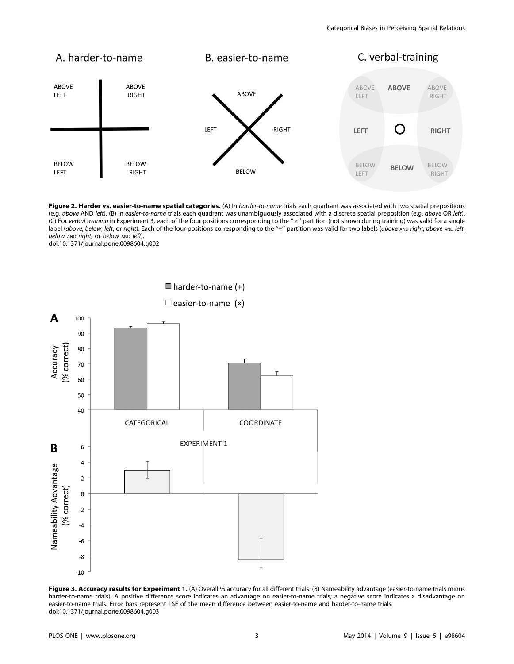

Figure 2. Harder vs. easier-to-name spatial categories. (A) In harder-to-name trials each quadrant was associated with two spatial prepositions (e.g. above AND left). (B) In easier-to-name trials each quadrant was unambiguously associated with a discrete spatial preposition (e.g. above OR left). (C) For verbal training in Experiment 3, each of the four positions corresponding to the "x" partition (not shown during training) was valid for a single label (above, below, left, or right). Each of the four positions corresponding to the "+" partition was valid for two labels (above AND right, above AND left, below AND right, or below AND left). doi:10.1371/journal.pone.0098604.g002



Figure 3. Accuracy results for Experiment 1. (A) Overall % accuracy for all different trials. (B) Nameability advantage (easier-to-name trials minus harder-to-name trials). A positive difference score indicates an advantage on easier-to-name trials; a negative score indicates a disadvantage on easier-to-name trials. Error bars represent 1SE of the mean difference between easier-to-name and harder-to-name trials. doi:10.1371/journal.pone.0098604.g003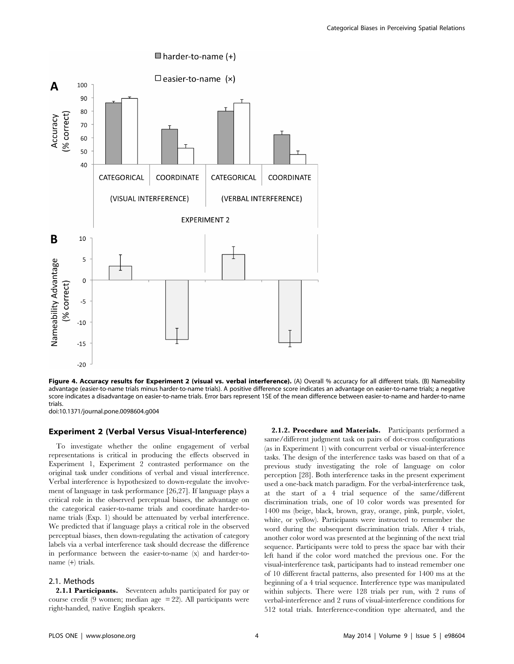

 $\blacksquare$  harder-to-name (+)

Figure 4. Accuracy results for Experiment 2 (visual vs. verbal interference). (A) Overall % accuracy for all different trials. (B) Nameability advantage (easier-to-name trials minus harder-to-name trials). A positive difference score indicates an advantage on easier-to-name trials; a negative score indicates a disadvantage on easier-to-name trials. Error bars represent 1SE of the mean difference between easier-to-name and harder-to-name

doi:10.1371/journal.pone.0098604.g004

trials.

#### Experiment 2 (Verbal Versus Visual-Interference)

To investigate whether the online engagement of verbal representations is critical in producing the effects observed in Experiment 1, Experiment 2 contrasted performance on the original task under conditions of verbal and visual interference. Verbal interference is hypothesized to down-regulate the involvement of language in task performance [26,27]. If language plays a critical role in the observed perceptual biases, the advantage on the categorical easier-to-name trials and coordinate harder-toname trials (Exp. 1) should be attenuated by verbal interference. We predicted that if language plays a critical role in the observed perceptual biases, then down-regulating the activation of category labels via a verbal interference task should decrease the difference in performance between the easier-to-name (x) and harder-toname (+) trials.

#### 2.1. Methods

2.1.1 Participants. Seventeen adults participated for pay or course credit (9 women; median age = 22). All participants were right-handed, native English speakers.

2.1.2. Procedure and Materials. Participants performed a same/different judgment task on pairs of dot-cross configurations (as in Experiment 1) with concurrent verbal or visual-interference tasks. The design of the interference tasks was based on that of a previous study investigating the role of language on color perception [28]. Both interference tasks in the present experiment used a one-back match paradigm. For the verbal-interference task, at the start of a 4 trial sequence of the same/different discrimination trials, one of 10 color words was presented for 1400 ms (beige, black, brown, gray, orange, pink, purple, violet, white, or yellow). Participants were instructed to remember the word during the subsequent discrimination trials. After 4 trials, another color word was presented at the beginning of the next trial sequence. Participants were told to press the space bar with their left hand if the color word matched the previous one. For the visual-interference task, participants had to instead remember one of 10 different fractal patterns, also presented for 1400 ms at the beginning of a 4 trial sequence. Interference type was manipulated within subjects. There were 128 trials per run, with 2 runs of verbal-interference and 2 runs of visual-interference conditions for 512 total trials. Interference-condition type alternated, and the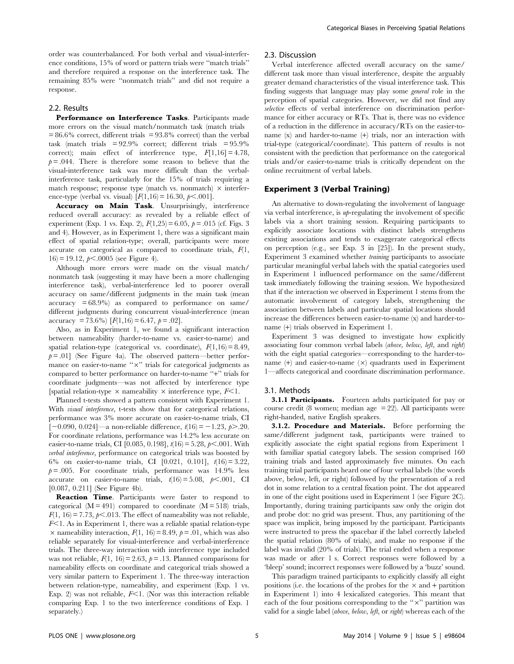order was counterbalanced. For both verbal and visual-interference conditions, 15% of word or pattern trials were ''match trials'' and therefore required a response on the interference task. The remaining 85% were ''nonmatch trials'' and did not require a response.

#### 2.2. Results

Performance on Interference Tasks. Participants made more errors on the visual match/nonmatch task (match trials  $= 86.6\%$  correct, different trials  $= 93.8\%$  correct) than the verbal task (match trials  $= 92.9\%$  correct; different trials  $= 95.9\%$ correct); main effect of interference type,  $F[1,16] = 4.78$ ,  $p = .044$ . There is therefore some reason to believe that the visual-interference task was more difficult than the verbalinterference task, particularly for the 15% of trials requiring a match response; response type (match vs. nonmatch)  $\times$  interference-type (verbal vs. visual)  $[F(1,16) = 16.30, p < .001]$ .

Accuracy on Main Task. Unsurprisingly, interference reduced overall accuracy: as revealed by a reliable effect of experiment (Exp. 1 vs. Exp. 2),  $F(1,25) = 6.05$ ,  $p = .015$  (cf. Figs. 3) and 4). However, as in Experiment 1, there was a significant main effect of spatial relation-type; overall, participants were more accurate on categorical as compared to coordinate trials,  $F(1)$ ,  $16 = 19.12$ ,  $p \le 0.0005$  (see Figure 4).

Although more errors were made on the visual match/ nonmatch task (suggesting it may have been a more challenging interference task), verbal-interference led to poorer overall accuracy on same/different judgments in the main task (mean  $accuracy = 68.9\%$  as compared to performance on same/ different judgments during concurrent visual-interference (mean accuracy = 73.6%)  $[F(1,16) = 6.47, p = .02]$ .

Also, as in Experiment 1, we found a significant interaction between nameability (harder-to-name vs. easier-to-name) and spatial relation-type (categorical vs. coordinate),  $F(1,16) = 8.49$ ,  $p = .01$ ] (See Figure 4a). The observed pattern—better performance on easier-to-name " $\times$ " trials for categorical judgments as compared to better performance on harder-to-name ''+'' trials for coordinate judgments—was not affected by interference type [spatial relation-type  $\times$  nameability  $\times$  interference type,  $F<1$ .

Planned t-tests showed a pattern consistent with Experiment 1. With *visual interference*, t-tests show that for categorical relations, performance was 3% more accurate on easier-to-name trials, CI  $[-0.090, 0.024]$ —a non-reliable difference,  $t(16) = -1.23$ ,  $p > .20$ . For coordinate relations, performance was 14.2% less accurate on easier-to-name trials, CI [0.085, 0.198],  $t(16) = 5.28, p < .001$ . With verbal interference, performance on categorical trials was boosted by 6% on easier-to-name trials, CI [0.021, 0.101], t(16) = 3.22,  $p = .005$ . For coordinate trials, performance was 14.9% less accurate on easier-to-name trials,  $t(16) = 5.08$ ,  $p < .001$ , CI [0.087, 0.211] (See Figure 4b).

Reaction Time. Participants were faster to respond to categorical  $(M = 491)$  compared to coordinate  $(M = 518)$  trials,  $F(1, 16) = 7.73$ ,  $p<.013$ . The effect of nameability was not reliable,  $F<1$ . As in Experiment 1, there was a reliable spatial relation-type  $\times$  nameability interaction,  $F(1, 16) = 8.49$ ,  $p = .01$ , which was also reliable separately for visual-interference and verbal-interference trials. The three-way interaction with interference type included was not reliable,  $F(1, 16) = 2.63$ ,  $p = .13$ . Planned comparisons for nameability effects on coordinate and categorical trials showed a very similar pattern to Experiment 1. The three-way interaction between relation-type, nameability, and experiment (Exp. 1 vs. Exp. 2) was not reliable,  $F<1$ . (Nor was this interaction reliable comparing Exp. 1 to the two interference conditions of Exp. 1 separately.)

#### 2.3. Discussion

Verbal interference affected overall accuracy on the same/ different task more than visual interference, despite the arguably greater demand characteristics of the visual interference task. This finding suggests that language may play some general role in the perception of spatial categories. However, we did not find any selective effects of verbal interference on discrimination performance for either accuracy or RTs. That is, there was no evidence of a reduction in the difference in accuracy/RTs on the easier-toname (x) and harder-to-name (+) trials, nor an interaction with trial-type (categorical/coordinate). This pattern of results is not consistent with the prediction that performance on the categorical trials and/or easier-to-name trials is critically dependent on the online recruitment of verbal labels.

## Experiment 3 (Verbal Training)

An alternative to down-regulating the involvement of language via verbal interference, is up-regulating the involvement of specific labels via a short training session. Requiring participants to explicitly associate locations with distinct labels strengthens existing associations and tends to exaggerate categorical effects on perception (e.g., see Exp. 3 in [25]). In the present study, Experiment 3 examined whether training participants to associate particular meaningful verbal labels with the spatial categories used in Experiment 1 influenced performance on the same/different task immediately following the training session. We hypothesized that if the interaction we observed in Experiment 1 stems from the automatic involvement of category labels, strengthening the association between labels and particular spatial locations should increase the differences between easier-to-name (x) and harder-toname (+) trials observed in Experiment 1.

Experiment 3 was designed to investigate how explicitly associating four common verbal labels (above, below, left, and right) with the eight spatial categories—corresponding to the harder-toname  $(+)$  and easier-to-name  $(x)$  quadrants used in Experiment 1—affects categorical and coordinate discrimination performance.

#### 3.1. Methods

**3.1.1 Participants.** Fourteen adults participated for pay or course credit (8 women; median age  $= 22$ ). All participants were right-handed, native English speakers.

3.1.2. Procedure and Materials. Before performing the same/different judgment task, participants were trained to explicitly associate the eight spatial regions from Experiment 1 with familiar spatial category labels. The session comprised 160 training trials and lasted approximately five minutes. On each training trial participants heard one of four verbal labels (the words above, below, left, or right) followed by the presentation of a red dot in some relation to a central fixation point. The dot appeared in one of the eight positions used in Experiment 1 (see Figure 2C). Importantly, during training participants saw only the origin dot and probe dot: no grid was present. Thus, any partitioning of the space was implicit, being imposed by the participant. Participants were instructed to press the spacebar if the label correctly labeled the spatial relation (80% of trials), and make no response if the label was invalid (20% of trials). The trial ended when a response was made or after 1 s. Correct responses were followed by a 'bleep' sound; incorrect responses were followed by a 'buzz' sound.

This paradigm trained participants to explicitly classify all eight positions (i.e. the locations of the probes for the  $\times$  and + partition in Experiment 1) into 4 lexicalized categories. This meant that each of the four positions corresponding to the " $\times$ " partition was valid for a single label (above, below, left, or right) whereas each of the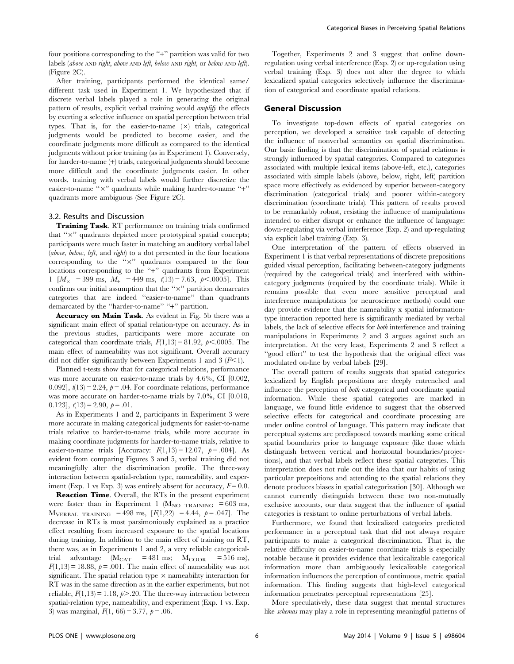four positions corresponding to the "+" partition was valid for two labels (above AND right, above AND left, below AND right, or below AND left). (Figure 2C).

After training, participants performed the identical same/ different task used in Experiment 1. We hypothesized that if discrete verbal labels played a role in generating the original pattern of results, explicit verbal training would amplify the effects by exerting a selective influence on spatial perception between trial types. That is, for the easier-to-name  $(x)$  trials, categorical judgments would be predicted to become easier, and the coordinate judgments more difficult as compared to the identical judgments without prior training (as in Experiment 1). Conversely, for harder-to-name (+) trials, categorical judgments should become more difficult and the coordinate judgments easier. In other words, training with verbal labels would further discretize the easier-to-name "x" quadrants while making harder-to-name "+" quadrants more ambiguous (See Figure 2C).

#### 3.2. Results and Discussion

Training Task. RT performance on training trials confirmed that " $\times$ " quadrants depicted more prototypical spatial concepts; participants were much faster in matching an auditory verbal label (above, below, left, and right) to a dot presented in the four locations corresponding to the "x" quadrants compared to the four locations corresponding to the "+" quadrants from Experiment 1  $[M_{\times} = 399 \text{ ms}, M_{+} = 449 \text{ ms}, t(13) = 7.63, p<.0005]$ . This confirms our initial assumption that the "x" partition demarcates categories that are indeed ''easier-to-name'' than quadrants demarcated by the "harder-to-name" "+" partition.

Accuracy on Main Task. As evident in Fig. 5b there was a significant main effect of spatial relation-type on accuracy. As in the previous studies, participants were more accurate on categorical than coordinate trials,  $F(1,13) = 81.92$ ,  $p<.0005$ . The main effect of nameability was not significant. Overall accuracy did not differ significantly between Experiments 1 and 3  $(F<1)$ .

Planned t-tests show that for categorical relations, performance was more accurate on easier-to-name trials by 4.6%, CI [0.002, 0.092],  $t(13) = 2.24$ ,  $p = .04$ . For coordinate relations, performance was more accurate on harder-to-name trials by 7.0%, CI [0.018, 0.123],  $t(13) = 2.90, p = .01$ .

As in Experiments 1 and 2, participants in Experiment 3 were more accurate in making categorical judgments for easier-to-name trials relative to harder-to-name trials, while more accurate in making coordinate judgments for harder-to-name trials, relative to easier-to-name trials [Accuracy:  $F(1,13) = 12.07$ ,  $p = .004$ ]. As evident from comparing Figures 3 and 5, verbal training did not meaningfully alter the discrimination profile. The three-way interaction between spatial-relation type, nameability, and experiment (Exp. 1 vs Exp. 3) was entirely absent for accuracy,  $F = 0.0$ .

Reaction Time. Overall, the RTs in the present experiment were faster than in Experiment 1 ( $M_{\text{NO TRAINING}}$  = 603 ms,  $M_{VERBAL TRAINING}$  = 498 ms,  $[F(1,22)$  = 4.44,  $p = .047$ . The decrease in RTs is most parsimoniously explained as a practice effect resulting from increased exposure to the spatial locations during training. In addition to the main effect of training on RT, there was, as in Experiments 1 and 2, a very reliable categoricaltrial advantage  $(M_{CAT}$  = 481 ms;  $M_{COR}$  = 516 ms),  $F(1,13) = 18.88$ ,  $p = .001$ . The main effect of nameability was not significant. The spatial relation type  $\times$  nameability interaction for RT was in the same direction as in the earlier experiments, but not reliable,  $F(1,13) = 1.18$ ,  $p > .20$ . The three-way interaction between spatial-relation type, nameability, and experiment (Exp. 1 vs. Exp. 3) was marginal,  $F(1, 66) = 3.77$ ,  $p = .06$ .

Together, Experiments 2 and 3 suggest that online downregulation using verbal interference (Exp. 2) or up-regulation using verbal training (Exp. 3) does not alter the degree to which lexicalized spatial categories selectively influence the discrimination of categorical and coordinate spatial relations.

## General Discussion

To investigate top-down effects of spatial categories on perception, we developed a sensitive task capable of detecting the influence of nonverbal semantics on spatial discrimination. Our basic finding is that the discrimination of spatial relations is strongly influenced by spatial categories. Compared to categories associated with multiple lexical items (above-left, etc.), categories associated with simple labels (above, below, right, left) partition space more effectively as evidenced by superior between-category discrimination (categorical trials) and poorer within-category discrimination (coordinate trials). This pattern of results proved to be remarkably robust, resisting the influence of manipulations intended to either disrupt or enhance the influence of language: down-regulating via verbal interference (Exp. 2) and up-regulating via explicit label training (Exp. 3).

One interpretation of the pattern of effects observed in Experiment 1 is that verbal representations of discrete prepositions guided visual perception, facilitating between-category judgments (required by the categorical trials) and interfered with withincategory judgments (required by the coordinate trials). While it remains possible that even more sensitive perceptual and interference manipulations (or neuroscience methods) could one day provide evidence that the nameability x spatial informationtype interaction reported here is significantly mediated by verbal labels, the lack of selective effects for both interference and training manipulations in Experiments 2 and 3 argues against such an interpretation. At the very least, Experiments 2 and 3 reflect a "good effort" to test the hypothesis that the original effect was modulated on-line by verbal labels [29].

The overall pattern of results suggests that spatial categories lexicalized by English prepositions are deeply entrenched and influence the perception of both categorical and coordinate spatial information. While these spatial categories are marked in language, we found little evidence to suggest that the observed selective effects for categorical and coordinate processing are under online control of language. This pattern may indicate that perceptual systems are predisposed towards marking some critical spatial boundaries prior to language exposure (like those which distinguish between vertical and horizontal boundaries/projections), and that verbal labels reflect these spatial categories. This interpretation does not rule out the idea that our habits of using particular prepositions and attending to the spatial relations they denote produces biases in spatial categorization [30]. Although we cannot currently distinguish between these two non-mutually exclusive accounts, our data suggest that the influence of spatial categories is resistant to online perturbations of verbal labels.

Furthermore, we found that lexicalized categories predicted performance in a perceptual task that did not always require participants to make a categorical discrimination. That is, the relative difficulty on easier-to-name coordinate trials is especially notable because it provides evidence that lexicalizable categorical information more than ambiguously lexicalizable categorical information influences the perception of continuous, metric spatial information. This finding suggests that high-level categorical information penetrates perceptual representations [25].

More speculatively, these data suggest that mental structures like schemas may play a role in representing meaningful patterns of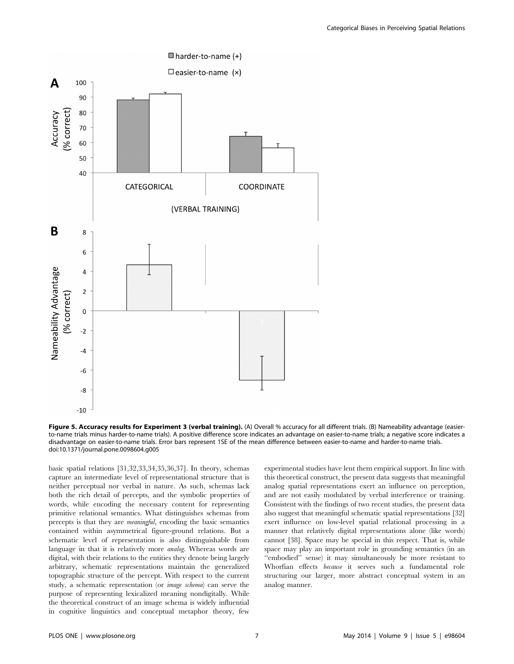

Figure 5. Accuracy results for Experiment 3 (verbal training). (A) Overall % accuracy for all different trials. (B) Nameability advantage (easierto-name trials minus harder-to-name trials). A positive difference score indicates an advantage on easier-to-name trials; a negative score indicates a disadvantage on easier-to-name trials. Error bars represent 1SE of the mean difference between easier-to-name and harder-to-name trials. doi:10.1371/journal.pone.0098604.g005

basic spatial relations [31,32,33,34,35,36,37]. In theory, schemas capture an intermediate level of representational structure that is neither perceptual nor verbal in nature. As such, schemas lack both the rich detail of percepts, and the symbolic properties of words, while encoding the necessary content for representing primitive relational semantics. What distinguishes schemas from percepts is that they are meaningful, encoding the basic semantics contained within asymmetrical figure-ground relations. But a schematic level of representation is also distinguishable from language in that it is relatively more analog. Whereas words are digital, with their relations to the entities they denote being largely arbitrary, schematic representations maintain the generalized topographic structure of the percept. With respect to the current study, a schematic representation (or image schema) can serve the purpose of representing lexicalized meaning nondigitally. While the theoretical construct of an image schema is widely influential in cognitive linguistics and conceptual metaphor theory, few experimental studies have lent them empirical support. In line with this theoretical construct, the present data suggests that meaningful analog spatial representations exert an influence on perception, and are not easily modulated by verbal interference or training. Consistent with the findings of two recent studies, the present data also suggest that meaningful schematic spatial representations [32] exert influence on low-level spatial relational processing in a manner that relatively digital representations alone (like words) cannot [38]. Space may be special in this respect. That is, while space may play an important role in grounding semantics (in an "embodied" sense) it may simultaneously be more resistant to Whorfian effects because it serves such a fundamental role structuring our larger, more abstract conceptual system in an analog manner.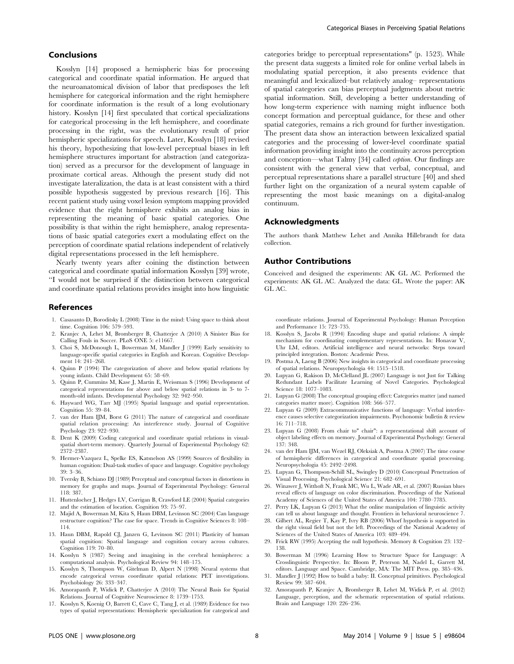## Conclusions

Kosslyn [14] proposed a hemispheric bias for processing categorical and coordinate spatial information. He argued that the neuroanatomical division of labor that predisposes the left hemisphere for categorical information and the right hemisphere for coordinate information is the result of a long evolutionary history. Kosslyn [14] first speculated that cortical specializations for categorical processing in the left hemisphere, and coordinate processing in the right, was the evolutionary result of prior hemispheric specializations for speech. Later, Kosslyn [18] revised his theory, hypothesizing that low-level perceptual biases in left hemisphere structures important for abstraction (and categorization) served as a precursor for the development of language in proximate cortical areas. Although the present study did not investigate lateralization, the data is at least consistent with a third possible hypothesis suggested by previous research [16]. This recent patient study using voxel lesion symptom mapping provided evidence that the right hemisphere exhibits an analog bias in representing the meaning of basic spatial categories. One possibility is that within the right hemisphere, analog representations of basic spatial categories exert a modulating effect on the perception of coordinate spatial relations independent of relatively digital representations processed in the left hemisphere.

Nearly twenty years after coining the distinction between categorical and coordinate spatial information Kosslyn [39] wrote, ''I would not be surprised if the distinction between categorical and coordinate spatial relations provides insight into how linguistic

## References

- 1. Casasanto D, Boroditsky L (2008) Time in the mind: Using space to think about time. Cognition 106: 579–593.
- 2. Kranjec A, Lehet M, Bromberger B, Chatterjee A (2010) A Sinister Bias for Calling Fouls in Soccer. PLoS ONE 5: e11667.
- 3. Choi S, McDonough L, Bowerman M, Mandler J (1999) Early sensitivity to language-specific spatial categories in English and Korean. Cognitive Development 14: 241-268.
- 4. Quinn P (1994) The categorization of above and below spatial relations by young infants. Child Development 65: 58–69.
- 5. Quinn P, Cummins M, Kase J, Martin E, Weissman S (1996) Development of categorical representations for above and below spatial relations in 3- to 7 month-old infants. Developmental Psychology 32: 942–950.
- 6. Hayward WG, Tarr MJ (1995) Spatial language and spatial representation. Cognition 55: 39–84.
- 7. van der Ham IJM, Borst G (2011) The nature of categorical and coordinate spatial relation processing: An interference study. Journal of Cognitive Psychology 23: 922–930.
- 8. Dent K (2009) Coding categorical and coordinate spatial relations in visualspatial short-term memory. Quarterly Journal of Experimental Psychology 62: 2372–2387.
- 9. Hermer-Vazquez L, Spelke ES, Katsnelson AS (1999) Sources of flexibility in human cognition: Dual-task studies of space and language. Cognitive psychology 39: 3–36.
- 10. Tversky B, Schiano DJ (1989) Perceptual and conceptual factors in distortions in memory for graphs and maps. Journal of Experimental Psychology: General 118: 387.
- 11. Huttenlocher J, Hedges LV, Corrigan B, Crawford LE (2004) Spatial categories and the estimation of location. Cognition 93: 75–97.
- 12. Majid A, Bowerman M, Kita S, Haun DBM, Levinson SC (2004) Can language restructure cognition? The case for space. Trends in Cognitive Sciences 8: 108– 114.
- 13. Haun DBM, Rapold CJ, Janzen G, Levinson SC (2011) Plasticity of human spatial cognition: Spatial language and cognition covary across cultures. Cognition 119: 70–80.
- 14. Kosslyn S (1987) Seeing and imagining in the cerebral hemispheres: a computational analysis. Psychological Review 94: 148–175.
- 15. Kosslyn S, Thompson W, Gitelman D, Alpert N (1998) Neural systems that encode categorical versus coordinate spatial relations: PET investigations. Psychobiology 26: 333–347.
- 16. Amorapanth P, Widick P, Chatterjee A (2010) The Neural Basis for Spatial Relations. Journal of Cognitive Neuroscience 8: 1739–1753.
- 17. Kosslyn S, Koenig O, Barrett C, Cave C, Tang J, et al. (1989) Evidence for two types of spatial representations: Hemispheric specialization for categorical and

categories bridge to perceptual representations" (p. 1523). While the present data suggests a limited role for online verbal labels in modulating spatial perception, it also presents evidence that meaningful and lexicalized–but relatively analog– representations of spatial categories can bias perceptual judgments about metric spatial information. Still, developing a better understanding of how long-term experience with naming might influence both concept formation and perceptual guidance, for these and other spatial categories, remains a rich ground for further investigation. The present data show an interaction between lexicalized spatial categories and the processing of lower-level coordinate spatial information providing insight into the continuity across perception and conception—what Talmy [34] called ception. Our findings are consistent with the general view that verbal, conceptual, and perceptual representations share a parallel structure [40] and shed further light on the organization of a neural system capable of representing the most basic meanings on a digital-analog continuum.

## Acknowledgments

The authors thank Matthew Lehet and Annika Hillebrandt for data collection.

## Author Contributions

Conceived and designed the experiments: AK GL AC. Performed the experiments: AK GL AC. Analyzed the data: GL. Wrote the paper: AK GL AC.

coordinate relations. Journal of Experimental Psychology: Human Perception and Performance 15: 723–735.

- 18. Kosslyn S, Jacobs R (1994) Encoding shape and spatial relations: A simple mechanism for coordinating complementary representations. In: Honavar V, Uhr LM, editors. Artificial intelligence and neural networks: Steps toward principled integration. Boston: Academic Press.
- 19. Postma A, Laeng B (2006) New insights in categorical and coordinate processing of spatial relations. Neuropsychologia 44: 1515–1518.
- 20. Lupyan G, Rakison D, McClelland JL (2007) Language is not Just for Talking Redundant Labels Facilitate Learning of Novel Categories. Psychological Science 18: 1077–1083.
- 21. Lupyan G (2008) The conceptual grouping effect: Categories matter (and named categories matter more). Cognition 108: 566–577.
- 22. Lupyan G (2009) Extracommunicative functions of language: Verbal interference causes selective categorization impairments. Psychonomic bulletin & review 16: 711–718.
- 23. Lupyan G (2008) From chair to" chair": a representational shift account of object labeling effects on memory. Journal of Experimental Psychology: General 137: 348.
- 24. van der Ham IJM, van Wezel RJ, Oleksiak A, Postma A (2007) The time course of hemispheric differences in categorical and coordinate spatial processing. Neuropsychologia 45: 2492–2498.
- 25. Lupyan G, Thompson-Schill SL, Swingley D (2010) Conceptual Penetration of Visual Processing. Psychological Science 21: 682–691.
- 26. Winawer J, Witthoft N, Frank MC, Wu L, Wade AR, et al. (2007) Russian blues reveal effects of language on color discrimination. Proceedings of the National Academy of Sciences of the United States of America 104: 7780–7785.
- 27. Perry LK, Lupyan G (2013) What the online manipulation of linguistic activity can tell us about language and thought. Frontiers in behavioral neuroscience 7.
- 28. Gilbert AL, Regier T, Kay P, Ivry RB (2006) Whorf hypothesis is supported in the right visual field but not the left. Proceedings of the National Academy of Sciences of the United States of America 103: 489–494.
- 29. Frick RW (1995) Accepting the null hypothesis. Memory & Cognition 23: 132– 138.
- 30. Bowerman M (1996) Learning How to Structure Space for Language: A Crosslinguistic Perspective. In: Bloom P, Peterson M, Nadel L, Garrett M, editors. Language and Space. Cambridge, MA: The MIT Press. pp. 385–436.
- 31. Mandler J (1992) How to build a baby: II. Conceptual primitives. Psychological Review 99: 587–604.
- 32. Amorapanth P, Kranjec A, Bromberger B, Lehet M, Widick P, et al. (2012) Language, perception, and the schematic representation of spatial relations. Brain and Language 120: 226–236.